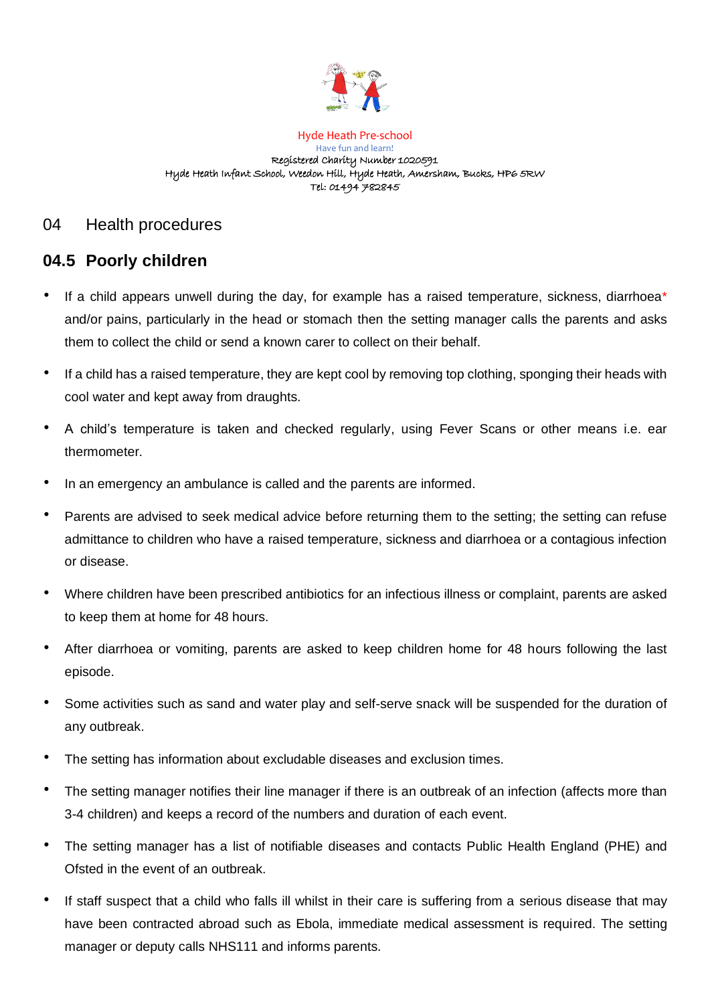

Hyde Heath Pre-school Have fun and learn! Registered Charity Number 1020591 Hyde Heath Infant School, Weedon Hill, Hyde Heath, Amersham, Bucks, HP6 5RW Tel: 01494 782845

## 04 Health procedures

# **04.5 Poorly children**

- If a child appears unwell during the day, for example has a raised temperature, sickness, diarrhoea\* and/or pains, particularly in the head or stomach then the setting manager calls the parents and asks them to collect the child or send a known carer to collect on their behalf.
- If a child has a raised temperature, they are kept cool by removing top clothing, sponging their heads with cool water and kept away from draughts.
- A child's temperature is taken and checked regularly, using Fever Scans or other means i.e. ear thermometer.
- In an emergency an ambulance is called and the parents are informed.
- Parents are advised to seek medical advice before returning them to the setting; the setting can refuse admittance to children who have a raised temperature, sickness and diarrhoea or a contagious infection or disease.
- Where children have been prescribed antibiotics for an infectious illness or complaint, parents are asked to keep them at home for 48 hours.
- After diarrhoea or vomiting, parents are asked to keep children home for 48 hours following the last episode.
- Some activities such as sand and water play and self-serve snack will be suspended for the duration of any outbreak.
- The setting has information about excludable diseases and exclusion times.
- The setting manager notifies their line manager if there is an outbreak of an infection (affects more than 3-4 children) and keeps a record of the numbers and duration of each event.
- The setting manager has a list of notifiable diseases and contacts Public Health England (PHE) and Ofsted in the event of an outbreak.
- If staff suspect that a child who falls ill whilst in their care is suffering from a serious disease that may have been contracted abroad such as Ebola, immediate medical assessment is required. The setting manager or deputy calls NHS111 and informs parents.